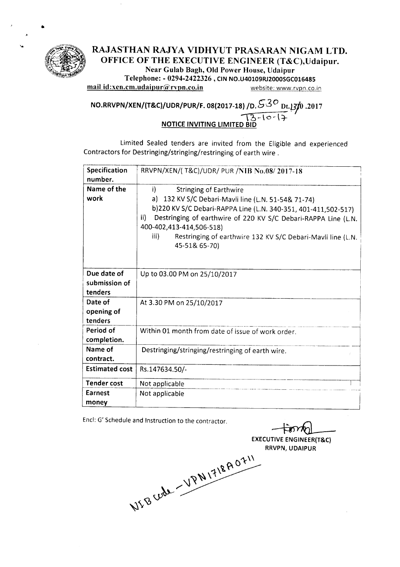

•

RAJASTHAN RAJYA VIDHYUT PRASARAN NIGAM LTD. OFFICE OF THE EXECUTIVE ENGINEER (T&C),Udaipur. Near Gulab Bagh, Old Power House, Udaipur Telephone: - 0294-2422326 , CIN NO.U40109RJ2000SGC016485 mail id:xen.cm.udaipur@rvpn.co.in website: www.rvpn.co.in

# NO.RRVPN/XEN/(T&C)/UDR/PUR/F. 08(2017-18) /D. S<sup>.SO</sup> Dt. *131*0 .2017<br>NOTICE INVITING LIMITED BID **NOTICE INVITING LIMITED BID**

Limited Sealed tenders are invited from the Eligible and experienced Contractors for Destringing/stringing/restringing of earth wire.

| Specification<br>number.                | RRVPN/XEN/(T&C)/UDR/ PUR /NIB No.08/2017-18                                                                                                                                                                                                                                                                                                                            |  |  |  |  |  |
|-----------------------------------------|------------------------------------------------------------------------------------------------------------------------------------------------------------------------------------------------------------------------------------------------------------------------------------------------------------------------------------------------------------------------|--|--|--|--|--|
| Name of the<br>work                     | i)<br><b>Stringing of Earthwire</b><br>132 KV S/C Debari-Mavli line (L.N. 51-54& 71-74)<br>a)<br>b)220 KV S/C Debari-RAPPA Line (L.N. 340-351, 401-411,502-517)<br>$\mathsf{ii}$<br>Destringing of earthwire of 220 KV S/C Debari-RAPPA Line (L.N.<br>400-402,413-414,506-518)<br>iii)<br>Restringing of earthwire 132 KV S/C Debari-Mavli line (L.N.<br>45-51& 65-70) |  |  |  |  |  |
| Due date of<br>submission of<br>tenders | Up to 03.00 PM on 25/10/2017                                                                                                                                                                                                                                                                                                                                           |  |  |  |  |  |
| Date of<br>opening of<br>tenders        | At 3.30 PM on 25/10/2017                                                                                                                                                                                                                                                                                                                                               |  |  |  |  |  |
| Period of<br>completion.                | Within 01 month from date of issue of work order.                                                                                                                                                                                                                                                                                                                      |  |  |  |  |  |
| Name of<br>contract.                    | Destringing/stringing/restringing of earth wire.                                                                                                                                                                                                                                                                                                                       |  |  |  |  |  |
| <b>Estimated cost</b>                   | Rs.147634.50/-                                                                                                                                                                                                                                                                                                                                                         |  |  |  |  |  |
| <b>Tender cost</b>                      | Not applicable                                                                                                                                                                                                                                                                                                                                                         |  |  |  |  |  |
| Earnest<br>money                        | Not applicable                                                                                                                                                                                                                                                                                                                                                         |  |  |  |  |  |

Encl: G' Schedule and Instruction to the contractor.

RRVPN, UDAIPUR

EXECUTIVE ENGINEER(T&C)<br>RRVPN, UDAIPUR<br>NISBUON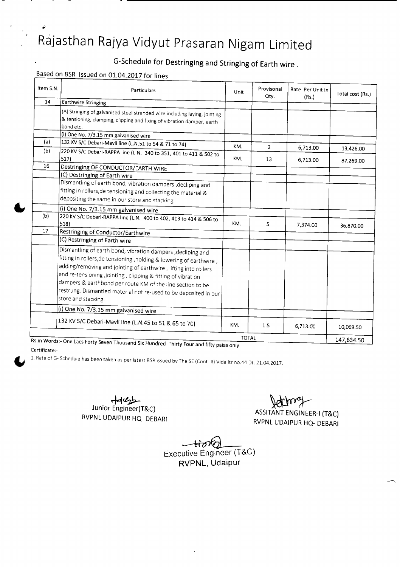# **Rajasthan Rajya Vidyut Prasaran Nigam Limited**

**G-Schedule for Destringing and Stringing of Earth wire.**

### Based on BSR Issued on 01.04.2017 for lines

| Item S.N. | Particulars                                                                                                                                                                                                                                                                                                                                                                                                                     | Unit | Provisonal<br>Qty. | Rate Per Unit in<br>(Rs.) | Total cost (Rs.)       |  |
|-----------|---------------------------------------------------------------------------------------------------------------------------------------------------------------------------------------------------------------------------------------------------------------------------------------------------------------------------------------------------------------------------------------------------------------------------------|------|--------------------|---------------------------|------------------------|--|
| 14        | <b>Earthwire Stringing</b>                                                                                                                                                                                                                                                                                                                                                                                                      |      |                    |                           |                        |  |
|           | (A) Stringing of galvanised steel stranded wire including laying, jointing<br>& tensioning, clamping, clipping and fixing of vibration damper, earth<br>bond etc.                                                                                                                                                                                                                                                               |      |                    |                           |                        |  |
|           | (i) One No. 7/3.15 mm galvanised wire                                                                                                                                                                                                                                                                                                                                                                                           |      |                    |                           |                        |  |
| (a)       | 132 KV S/C Debari-Mavli line (L.N.51 to 54 & 71 to 74)                                                                                                                                                                                                                                                                                                                                                                          | KM.  | $\overline{2}$     | 6,713.00                  |                        |  |
| (b)       | 220 KV S/C Debari-RAPPA line (L.N. 340 to 351, 401 to 411 & 502 to<br>517)                                                                                                                                                                                                                                                                                                                                                      | KM.  | 13                 | 6,713.00                  | 13,426.00<br>87,269.00 |  |
| 16        | Destringing OF CONDUCTOR/EARTH WIRE                                                                                                                                                                                                                                                                                                                                                                                             |      |                    |                           |                        |  |
|           | (C) Destringing of Earth wire                                                                                                                                                                                                                                                                                                                                                                                                   |      |                    |                           |                        |  |
|           | Dismantling of earth bond, vibration dampers, decliping and<br>fitting in rollers, de tensioning and collecting the material &<br>depositing the same in our store and stacking.                                                                                                                                                                                                                                                |      |                    |                           |                        |  |
|           | (i) One No. 7/3.15 mm galvanised wire                                                                                                                                                                                                                                                                                                                                                                                           |      |                    |                           |                        |  |
| (b)       | 220 KV S/C Debari-RAPPA line (L.N. 400 to 402, 413 to 414 & 506 to<br>518                                                                                                                                                                                                                                                                                                                                                       | KM.  | 5                  | 7,374.00                  | 36,870.00              |  |
| 17        | Restringing of Conductor/Earthwire                                                                                                                                                                                                                                                                                                                                                                                              |      |                    |                           |                        |  |
|           | (C) Restringing of Earth wire                                                                                                                                                                                                                                                                                                                                                                                                   |      |                    |                           |                        |  |
|           | Dismantling of earth bond, vibration dampers , decliping and<br>fitting in rollers, de tensioning, holding & lowering of earthwire,<br>adding/removing and jointing of earthwire, lifting into rollers<br>and re-tensioning ,jointing, clipping & fitting of vibration<br>dampers & earthbond per route KM of the line section to be<br>restrung. Dismantled material not re-used to be deposited in our<br>store and stacking. |      |                    |                           |                        |  |
|           | (i) One No. 7/3.15 mm galvanised wire                                                                                                                                                                                                                                                                                                                                                                                           |      |                    |                           |                        |  |
|           | 132 KV S/C Debari-Mavli line (L.N.45 to 51 & 65 to 70)                                                                                                                                                                                                                                                                                                                                                                          | KM.  | 1.5                | 6,713.00                  | 10,069.50              |  |
|           | <b>TOTAL</b><br>Rs.in Words:- One Lacs Forty Soven Thousand Civil Li                                                                                                                                                                                                                                                                                                                                                            |      |                    |                           |                        |  |

orty Seven Thousand Six Hundred Thirty Four and fifty paisa only Certificate:-

1. Rate of G-Schedule has been taken as per latest BSR issued by The SE (Cont-II) Vide Itr no.44 Dt. 21.04.2017.

~~ Junior Engineer(T&C) RVPNLUDAIPUR HQ- DEBARI

 $\mu$ ind ~ ASSITANT ENGINEER-I (T&C) RVPNLUDAIPUR HQ- DEBARI

.~

~ Executive Engineer (T&C) **RVPNL, Udaipur**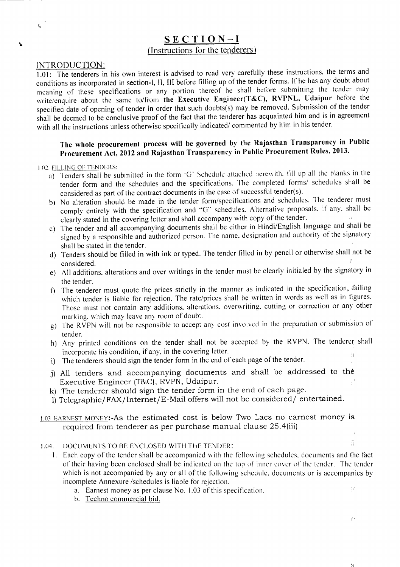### SECTION-I (Instructions for the tenderers)

#### INTRODUCTION:

 $\mathbf{t}$ 

t.

1.01: The tenderers in his own interest is advised to read very carefully these instructions, the terms and conditions as incorporated in section-I, II, III before filling up of the tender forms. If he has any doubt about meaning of these specifications or any portion thereof he shall before submitting the tender may write/enquire about the same to/from the Executive Engineer(T&C), RVPNL, Udaipur before the specified date of opening of tender in order that such doubts(s) may be removed. Submission of the tender shall be deemed to be conclusive proof of the fact that the tenderer has acquainted him and is in agreement with all the instructions unless otherwise specifically indicated/ commented by him in his tender.

### The whole procurement process will be governed by the Rajasthan Transparency in Public Procurement Act, 2012 and Rajasthan Transparency in Public Procurement Rules, 2013.

#### 1.02. FILLING OF TENDERS:

- a) Tenders shall be submitted in the form *'C'* Schedule attached herew ith. till up ali the blanks in the tender form and the schedules and the specifications. The completed forms/ schedules shall be considered as part of the contract documents in the case of successful tender(s).
- b) No alteration should be made in the tender form/specifications and schedules. The tenderer must comply entirely with the specification and *"C"* schedules. Alternative proposals. if any, shall be clearly stated in the covering letter and shall accompany with copy of the tender.
- c) The tender and all accompanying documents shall be either in Hindi/English language and shall be signed by a responsible and authorized person. The name. designation and authority of the signatory shall be stated in the tender.
- d) Tenders should be filled in with ink or typed. The tender filled in by pencil or otherwise shall not be considered.
- e) All additions. alterations and over writings in the tender must be clearly initialed by the signatory in the tender.
- f) The tenderer must quote the prices strictly in the manner as indicated in the specification, failing which tender is liable for rejection. The rate/prices shall be written in words as well as in figures. Those must not contain any additions. alterations. overwriting, cutting or correction or any other marking. which may leave any room of doubt.
- g) The RVPN will not be responsible to accept any cost involved in the preparation or submission of tender. '
- h) Any printed conditions on the tender shall not be accepted by the RVPN. The tenderer shall incorporate his condition, if any, in the covering letter.
- i) The tenderers should sign the tender form in the end of each page of the tender.
- j) All tenders and accompanying documents and shall be addressed to the Executive Engineer (T&C), RVPN, Udaipur.
- k) The tenderer should sign the tender form in the end of each page.
- 1)Telegraphic/FAX/Internet/E-Mail offers will not be considered/ entertained.

#### 1.03 EARNEST MONEY:-Asthe estimated cost is below Two Lacs no earnest money is required from tenderer as per purchase manual clause 25.4(iii)

#### 1.04. DOCUMENTS TO BE ENCLOSED WITH THE TENDER:

I. Each copy of the tender shall be accompanied with the following schedules. documents and the fact of their having been enclosed shall be indicated on the top of inner cover of the tender. The tender which is not accompanied by any or all of the following schedule, documents or is accompanies by incomplete Annexure /schedules is liable for rejection.  $\Omega^{\star}$ 

I'

ă

- a. Earnest money as per clause No. 1.03 of this specification.
- b. Techno commercial bid.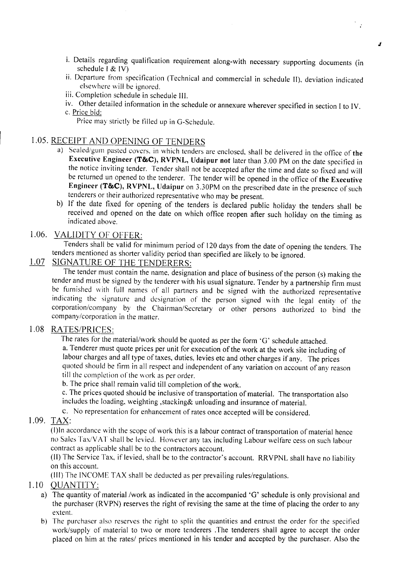i. Details regarding qualification requirement along-with necessary supporting documents (in schedule I & IV)

*.t*

 $\mathcal{F}$ 

- ii. Departure from specification (Technical and commercial in schedule II), deviation indicated elsewhere will be ignored.
- iii. Completion schedule in schedule III.
- iv. Other detailed information in the schedule or annexure wherever specified in section I to IV. c. Price bid:

Price may strictly be filled up in G-Schedule.

### 1.05. RECEIPT AND OPENING OF TENDERS

- a) Sealed/gum pasted covers, in which tenders are enclosed, shall be delivered in the office of the Executive Engineer (T&C), RVPNL, Udaipur not later than 3.00 PM on the date specified in the notice inviting tender. Tender shall not be accepted after the time and date so fixed and will be returned un opened to the tenderer. The tender will be opened in the office of the Executive Engineer (T&C), RVPNL, Udaipur on 3.30PM on the prescribed date in the presence of such tenderers or their authorized representative who may be present.
- b) If the date fixed for opening of the tenders is declared public holiday the tenders shall be received and opened on the date on which office reopen after such holiday on the timing as indicated above.

### 1.06. VALIDITY OF OFFER:

Tenders shall be valid for minimum period of 120 days from the date of opening the tenders. The tenders mentioned as shorter validity period than specified are likely to be ignored.

### 1.07 SIGNATURE OF THE TENDERERS:

The tender must contain the name, designation and place of business of the person (s) making the tender and must be signed by the tenderer with his usual signature. Tender by a partnership firm must be furnished with full names of all partners and be signed with the authorized representative indicating the signature and designation of the person signed with the legal entity of the corporation/company by the Chairman/Secretary or other persons authorized to bind the company/corporation in the matter.

### l.08 RATES/PRICES:

The rates for the material/work should be quoted as per the form 'G' schedule attached. a. Tenderer must quote prices per unit for execution of the work at the work site including of labour charges and all type of taxes, duties, levies etc and other charges if any. The prices quoted should be firm in all respect and independent of any variation on account of any reason till the completion of the work as per order.

b. The price shall remain valid till completion of the work.

c. The prices quoted should be inclusive of transportation of material. The transportation also includes the loading, weighting ,stacking& unloading and insurance of material.

c. No representation for enhancement of rates once accepted will be considered.

### l.09. TAX:

(I)ln accordance with the scope of work this is a labour contract of transportation of material hence no Sales Tax/V AT shall be levied. However any tax including Labour welfare cess on such labour contract as applicable shall be to the contractors account.

(II) The Service Tax, if levied, shall be to the contractor's account. RRVPNL shall have no liability on this account.

(III) The INCOME TAX shall be deducted as per prevailing rules/regulations.

### 1.10 QUANTITY:

- a) The quantity of material /work as indicated in the accompanied 'G' schedule is only provisional and the purchaser (RVPN) reserves the right of revising the same at the time of placing the order to any extent.
- b) The purchaser also reserves the right to split the quantities and entrust the order for the specified work/supply of material to two or more tenderers .The tenderers shall agree to accept the order placed on him at the rates/ prices mentioned in his tender and accepted by the purchaser. Also the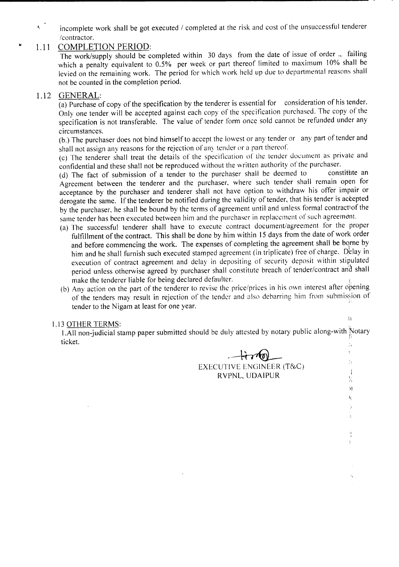incomplete work shall be got executed / completed at the risk and cost of the unsuccessful tenderer /contractor.

### 1.11 COMPLETION PERIOD:

The work/supply should be completed within 30 days from the date of issue of order., failing which a penalty equivalent to 0.5% per week or part thereof limited to maximum 10% shall be levied on the remaining work. The period for which work held up due to departmental reasons shall not be counted in the completion period.

### 1.12 GENERAL:

(a) Purchase of copy of the specification by the tenderer is essential for consideration of his tender. Only one tender will be accepted against each copy of the specification purchased. The copy of the specification is not transferable. The value of tender form once sold cannot be refunded under any circumstances.

(b.) The purchaser does not bind himself to accept the lowest or any tender or any part of tender and shall not assign any reasons for the rejection of any tender or a part thereof.

(c) The tenderer shall treat the details of the specification of the tender document as private and confidential and these shall not be reproduced without the written authority of the purchaser.<br>(d) The fact of submission of a tender to the purchaser shall be deemed to constitute an

(d) The fact of submission of a tender to the purchaser shall be deemed to Agreement between the tenderer and the purchaser, where such tender shall remain open for acceptance by the purchaser and tenderer shall not have option to withdraw his offer impair or derogate the same. If the tenderer be notified during the validity of tender, that his tender is accepted by the purchaser, he shall be bound by the terms of agreement until and un less formal contractiof the same tender has been executed between him and the purchaser in replacement of such agreement.

- (a) The successful tenderer shall have to execute contract document/agreement for the proper fulfillment of the contract. This shall be done by him within 15 days from the date of work order and before commencing the work. The expenses of completing the agreement shall be borne by him and he shall furnish such executed stamped agreement (in triplicate) free of charge. Delay in execution of contract agreement and delay in depositing of security deposit within stipulated period unless otherwise agreed by purchaser shall constitute breach of tender/contract arid shall make the tenderer liable for being declared defaulter.
- (b) Any action on the part of the tenderer to revise the price/prices in his own interest after opening of the tenders may result in rejection of the tender and also debarring him from submission of tender to the Nigam at least for one year.

#### 1.13 OTHER TERMS:

1.All non-judicial stamp paper submitted should be duly attested by notary public along-with Notary ticket. I, which is a set of the set of the set of the set of the set of the set of the set of the set of the set of the set of the set of the set of the set of the set of the set of the set of the set of the set of the se

> $-\dot{+}$   $\dot{+}$   $\dot{+}$ EXECUTIVE ENCJINEER (T&C) RVPNL, UDAIPUR

Ll

ţ.  $\bar{\Sigma}$  $\overline{\mathbf{I}}$ 퉆  $\bar{\mathbf{M}}$  $\mathbf{h}_0$ 73 Ì.

 $\frac{1}{4}$  $\frac{1}{2}$ 

 $\mathbf{v}_\mathrm{c}$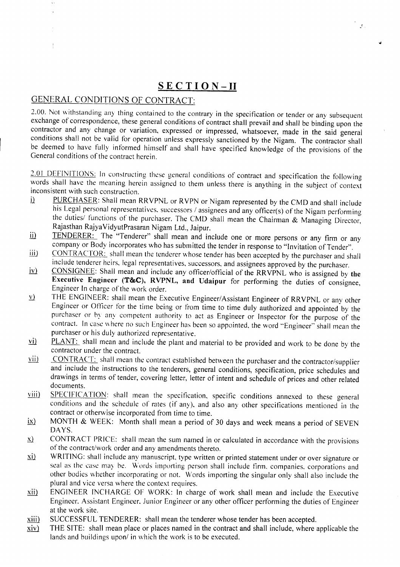### **SECTION-II**

 $\frac{1}{2} \frac{1}{2} \frac{1}{2}$ 

### GENERAL CONDITIONS OF CONTRACT:

2.00. Not withstanding any thing contained to the contrary in the specification or tender or any subsequent exchange of correspondence, these general conditions of contract shall prevail and shall be binding upon the contractor and any change or variation, expressed or impressed, whatsoever, made in the said general conditions shall not be valid for operation unless expressly sanctioned by the Nigam. The contractor shall be deemed to have fully informed himself and shall have specified knowledge of the provisions of the General conditions of the contract herein.

2.01 DEFINITIONS: In constructing these general conditions of contract and specification the following words shall have the meaning herein assigned to them unless there is anything in the subject of context inconsistent with such construction.

- PURCHASER: Shall mean RRVPNL or RVPN or Nigam represented by the CMD and shall include  $\ddot{\mathbf{i}}$ his Legal personal representatives. successors / assignees and any officer(s) of the Nigam performing the duties/ functions of the purchaser. The CMD shall mean the Chairman & Managing Director, Rajasthan Rajya VidyutPrasaran Nigam Ltd., Jaipur.
- $\mathbf{ii}$ TENDERER: The "Tenderer" shall mean and include one or more persons or any firm or any company or Body incorporates who has submitted the tender in response to "Invitation of Tender".
- CONTRACTOR: shall mean the tenderer whose tender has been accepted by the purchaser and shall include tenderer heirs, legal representatives, successors, and assignees approved by the purchaser. iii)
- CONSIGNEE: Shall mean and include any officer/official of the RRVPNL who is assigned by the  $iv)$ Executive Engineer (T&C), RVPNL, and Udaipur for performing the duties of consignee, Engineer In charge of the work order.
- THE ENGINEER: shall mean the Executive Engineer/Assistant Engineer of RRVPNL or any other  $\underline{v}$ Engineer or Officer for the time being or from time to time duly authorized and appointed by the purchaser or by any competent authority to act as Engineer or Inspector for the purpose of the contract. In case where no such Engineer has been so appointed. the word "Engineer" shall mean the purchaser or his duly authorized representative.
- PLANT: shall mean and include the plant and material to be provided and work to be done by the  $\overline{v}$ contractor under the contract.
- CONTRACT: shall mean the contract established between the purchaser and the contractor/supplier vii) and include the instructions to the tenderers, general conditions, specification, price schedules and drawings in terms of tender, covering letter, letter of intent and schedule of prices and other related documents.
- SPECIFICATION: shall mean the specification, specific conditions annexed to these general viii) conditions and the schedule of rates (if any), and also any other specifications mentioned in the contract or otherwise incorporated from time to time.
- MONTH & WEEK: Month shall mean a period of 30 days and week means a period of SEVEN  $\mathbf{ix}$ DAYS.
- CONTRACT PRICE: shall mean the sum named in or calculated in accordance with the provisions  $\underline{x}$ of the contract/work order and any amendments thereto.
- WRITING: shall include any manuscript. type written or printed statement under or over signature or  $\underline{xi}$ seal as the case may be. Words importing person shall include firm. companies. corporations and other bodies whether incorporating or not. Words importing the singular only shall also include the plural and vice versa where the context requires.
- xii) ENGINEER lNCHARGE OF WORK: In charge of work shall mean and include the Executive Engineer. Assistant Engineer. Junior Engineer or any other officer performing the duties of Engineer at the work site.
- SUCCESSFUL TENDERER: shall mean the tenderer whose tender has been accepted.  $xiii)$
- THE SITE: shall mean place or places named in the contract and shall include, where applicable the  $\overline{xiv}$ lands and buildings upon/ in which the work is to be executed.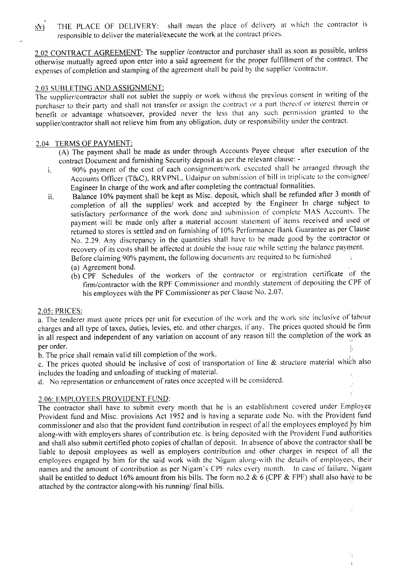$x(y)$  THE PLACE OF DELIVERY: shall mean the place of delivery at which the contractor is responsible to deliver the material/execute the work at the contract prices.

2.02 CONTRACT AGREEMENT: The supplier /contractor and purchaser shall as soon as possible, unless otherwise mutually agreed upon enter into a said agreement for the proper fulfillment of the contract. The expenses of completion and stamping of the agreement shall be paid by the supplier /contractor.

#### 2.03 SUBLETING AND ASSIGNMENT:

The supplier/contractor shall not sublet the supply or work without the previous consent in writing of the purchaser to their party and shall not transfer or assign the contract or a part thereof or interest therein or benefit or advantage whatsoever, provided never the less that any such permission granted to the supplier/contractor shall not relieve him from any obligation, duty or responsibility under the contract.

#### 2.04 TERMS OF PAYMENT:

- (A) The payment shall be made as under through Accounts Payee cheque after execution of the contract Document and furnishing Security deposit as per the relevant clause: -
- i. 90% payment of the cost of each consignment/work executed shall be arranged through the Accounts Officer (T&C), RRVPNL, Udaipur on submission of bill in triplicate to the consignee/ Engineer In charge of the work and after completing the contractual formalities.
- ii. Balance 10% payment shall be kept as Misc. deposit, which shall be refunded after 3 month of completion of all the supplies/ work and accepted by the Engineer In charge subject to satisfactory performance of the work done and submission of complete MAS Accounts. The payment will be made only after a material account statement of items received and used or returned to stores is settled and on furnishing of 10% Performance Bank Guarantee as per Clause No. 2.29. Any discrepancy in the quantities shall have to be made good by the contractor or recovery of its costs shall be affected at double the issue rate while setting the balance payment. Before claiming 90% payment, the following documents are required to be furnished
	- (a) Agreement bond.
	- (b) CPF Schedules of the workers of the contractor or registration certificate of the firm/contractor with the RPF Commissioner and monthly statement of depositing the CPF of his employees with the PF Commissioner as per Clause No. 2.07.

#### 2.05: PRICES:

a. The tenderer must quote prices per unit for execution of the work and the work site inclusive of labour charges and all type of taxes, duties, levies, etc. and other charges, if any. The prices quoted should be firm in all respect and independent of any variation on account of any reason till the completion of the work as per order.

b. The price shall remain valid till completion of the work.

c. The prices quoted should be inclusive of cost of transportation of line & structure material which also includes the loading and unloading of stucking of material.  $\mathfrak{t}$ 

k.

d. No representation or enhancement of rates once accepted will be considered.

### 2.06: EMPLOYEES PROVIDENT FUND:

The contractor shall have to submit every month that he is an establishment covered under Employee Provident fund and Misc. provisions Act 1952 and is having a separate code No. with the Provident fund commissioner and also that the provident fund contribution in respect of all the employees employed by him along-with with employers shares of contribution etc. is being deposited with the Provident Fund authorities and shall also submit certified photo copies of challan of deposit. In absence of above the contractor shall be liable to deposit employees as well as employers contribution and other charges in respect of all the employees engaged by him for the said work with the Nigam along-with the details of employees, their names and the amount of contribution as per Nigam's CPF rules every month. In case of failure, Nigam shall be entitled to deduct 16% amount from his bills. The form no.2 & 6 (CPF & FPF) shall also have to be attached by the contractor along-with his running/ final bills.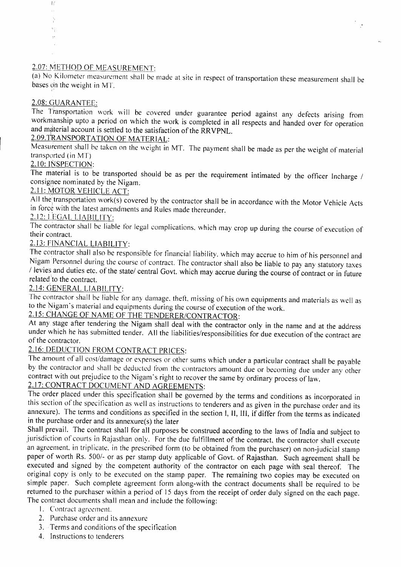### 2.07: METHOD OF MEASUREMENT:

(a) No Kilometer measurement shall be made at site in respect of transportation these measurement shall be bases on the weight in MT.

### 2.08: GUARANTEE:

 $\mathcal{L}$  $\bar{\psi}$ 

The Transportation work will be covered under guarantee period against any defects arising from workmanship upto a period on which the work is completed in all respects and handed over for operation and material account is settled to the satisfaction of the RR VPNL.

### 2.09.TRANSPORTATION OF MATERIAL:

Measurement shall be taken on the weight in MT. The payment shall be made as per the weight of material transported (in MT)

### 2.10: INSPECTION:

The material is to be transported should be as per the requirement intimated by the officer Incharge / consignee nominated by the Nigam.

### 2.11: MOTOR VEHICLE ACT:

All the transportation work(s) covered by the contractor shall be in accordance with the Motor Vehicle Acts in force with the latest amendments and Rules made thereunder.

### 2.12: LEGAL LIABILITY:

The contractor shall be liable for legal complications. which may crop up during the course of execution of their contract.

### 2.13: FINANCIAL LIABILITY:

The contractor shall also be responsible for financial liability. which may accrue to him of his personnel and Nigam Personnel during the course of contract. The contractor shall also be liable to pay any statutory taxes / levies and duties etc. of the state/ central Govt. which may accrue during the course of contract or in future related to the contract.

### 2.14: GENERAL LIABILITY:

The contractor shall be liable for any damage, theft, missing of his own equipments and materials as well as to the Nigam's material and equipments during the course of execution of the work.

### 2.15: CHANGE OF NAME OF THE TENDERER/CONTRACTOR:

At any stage after tendering the Nigam shall deal with the contractor only in the name and at the address under which he has submitted tender. All the liabilities/responsibilities for due execution of the contract are of the contractor.

### 2.16: DEDUCTION FROM CONTRACT PRICES:

The amount of all cost/damage or expenses or other sums which under a particular contract shall be payable by the contractor and shall be deducted from the contractors amount due or becoming due under any other contract with out prejudice to the Nigam's right to recover the same by ordinary process of law.

### 2.17: CONTRACT DOCUMENT AND AGREEMENTS:

The order placed under this specification shall be governed by the terms and conditions as incorporated in this section of the specification as well as instructions to tenderers and as given in the purchase order and its annexure). The terms and conditions as specified in the section I, II, III, if differ from the terms as indicated in the purchase order and its annexure(s) the later

Shall prevail. The contract shall for all purposes be construed according to the laws of India and subject to jurisdiction of courts in Rajasthan only. For the due fulfillment of the contract, the contractor shall execute an agreement. in triplicate. in the prescribed form (to be obtained from the purchaser) on non-judicial stamp paper of worth Rs. 500/- or as per stamp duty applicable of Govt. of Rajasthan. Such agreement shall be executed and signed by the competent authority of the contractor on each page with seal thereof. The original copy is only to be executed on the stamp paper. The remaining two copies may be executed on simple paper. Such complete agreement form along-with the contract documents shall be required to be returned to the purchaser within a period of 15 days from the receipt of order duly signed on the each page. The contract documents shall mean and include the following:

- I. Contract agreement.
- 2. Purchase order and its annexure
- 3. Terms and conditions of the specilication
- 4. Instructions to tenderers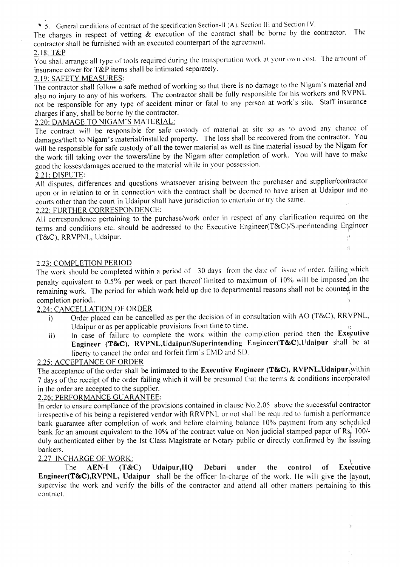~ 5. General conditions of contract of the specification Section-II (A), Section III and Section IV.

The charges in respect of vetting & execution of the contract shall be borne by the contractor. The contractor shall be furnished with an executed counterpart of the agreement.

### 2.18: T&P

You shall arrange all type of tools required during the transportation work at your own cost. The amount of insurance cover for T&P items shall be intimated separately.

### 2.19: SAFETY MEASURES:

The contractor shall follow a safe method of working so that there is no damage to the Nigam's material and also no injury to any of his workers. The contractor shall be fully responsible for his workers and RVPNL not be responsible for any type of accident minor or fatal to any person at work's site. Staff insurance charges if any, shall be borne by the contractor.

### 2.20: DAMAGE TO NIGAM'S MATERIAL:

The contract will be responsible for safe custody of material at site so as to avoid any chance of damages/theft to Nigam's material/installed property. The loss shall be recovered from the contractor. You will be responsible for safe custody of all the tower material as well as line material issued by the Nigam for the work till taking over the towers/line by the Nigam after completion of work. You will have to make good the losses/damages accrued to the material while in your possession.

### 2.21: DISPUTE:

All disputes, differences and questions whatsoever arising between the purchaser and supplier/contractor upon or in relation to or in connection with the contract shall be deemed to have arisen at Udaipur and no courts other than the court in Udaipur shall have jurisdiction to entertain or try the same.

### 2.22: FURTHER CORRESPONDENCE:

All correspondence pertaining to the purchase/work order in respect of any clarification required on the terms and conditions etc. should be addressed to the Executive Engineer(T&C)/Superintending Engineer (T&C), RRVPNL, Udaipur.  $\mathbf{I}$ 

 $\overline{\mathbf{H}}$ 

'\1

 $\psi_{\rm A}$ 

### 2.23: COMPLETION PERIOD

The work should be completed within a period of 30 days from the date of issue of order. failing, which penalty equivalent to 0.5% per week or part thereof limited to maximum of 10% will be imposed on the remaining work. The period for which work held up due to departmental reasons shall not be counted in the completion period..

### 2.24: CANCELLATION OF ORDER

- i) Order placed can be cancelled as per the decision of in consultation with AO (T&C), RRVPNL, Udaipur or as per applicable provisions from time to time.
- ii) In case of failure to complete the work within the completion period then the Executive Engineer (T&C), RVPNL,Udaipur/Superintending Engineer(T&C),Udaipur shall be at liberty to cancel the order and forfeit firm's EMD and SD.

### 2.25: ACCEPTANCE OF ORDER

The acceptance of the order shall be intimated to the Executive Engineer (T&C), RVPNL, Udaipur<sub>1</sub>within 7 days of the receipt of the order failing which it will be presumed that the terms & conditions incorporated in the order are accepted to the supplier.

### 2.26: PERFORMANCE GUARANTEE:

In order to ensure compliance of the provisions contained in clause No.2.0S above the successful contractor irrespective of his being a registered vendor with RRVPNL or not shall be required to furnish a performance bank guarantee after completion of work and before claiming balance 10% payment from any scheduled bank for an amount equivalent to the 10% of the contract value on Non judicial stamped paper of Rs. 100/duly authenticated either by the Ist Class Magistrate or Notary public or directly confirmed by the issuing bankers.

### 2.27 INCHARGE OF WORK:

The AEN-I (T&C) Udaipur, HQ Debari under the control of Executive **Engineer(T&C),RVPNL, Udaipur** shall be the officer In-charge of the work. He will give the layout, supervise the work and verify the bills of the contractor and attend all other matters pertaining to this contract.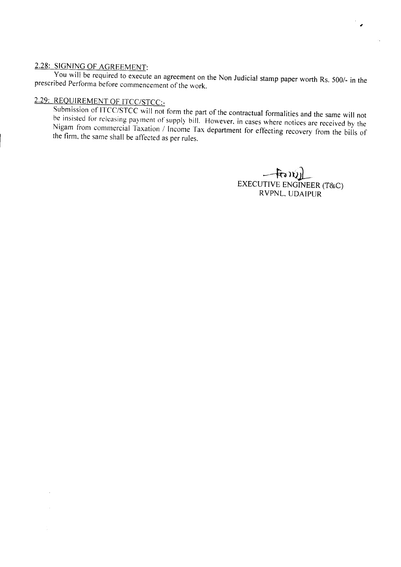### 2.28: SIGNING OF AGREEMENT:

 $\bar{1}$ 

You will be required to execute an agreement on the Non Judicial stamp paper worth Rs. *5001-* in the prescribed Performa before commencement of the work.

### 2.29: REQUIREMENT OF *ITCC/STCC:-*

Submission of ITCC/STCC will not form the part of the contractual formalities and the same will not be insisted for releasing payment of supply bill. However. in cases where notices are received by the Nigam from commercial Taxation / Income Tax department for effecting recovery from the bills of the firm. the same shall be affected as per rules.

> $-\mathsf{frow}$ EXECUTIVE ENGINEER (T&C) RVPNL. UDAIPUR

,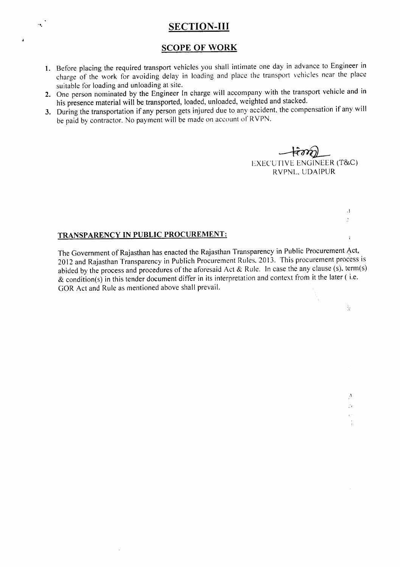### **SECTION-III**

### SCOPE **OF WORK**

- 1. Before placing the required transport vehicles you shall intimate one day in advance to Engineer in charge of the work for avoiding delay in loading and place the transport vehicles near the place suitable for loading and unloading at site.
- 2. One person nominated by the Engineer In charge will accompany with the transport vehicle and in his presence material will be transported, loaded, unloaded, weighted and stacked.
- 3. During the transportation if any person gets injured due to any accident, the compensation if any will be paid by contractor. No payment will be made on account of RVPN.

EXECUTIVE ENGINEER (T&C) RVPNL. UDAIPUR

.1

þ,

 $\ddot{i}$ 

Ř.

 $\lambda$  $\mathbb{C}^4$ 

 $-\hat{\mathsf{F}}$ 

### TRANSPARENCY IN PUBLIC PROCUREMENT:

 $\mathbf{q}_i$ 

 $\overline{\mathbf{a}}$ 

The Government of Rajasthan has enacted the Rajasthan Transparency in Public Procurement Act, 2012 and Rajasthan Transparency in Publich Procurement Rules. 2013. This procurement process is abided by the process and procedures of the aforesaid Act & Rule. In case the any clause (s), term(s) & condition(s) in this tender document differ in its interpretation and context from it the later ( i.e. GOR Act and Rule as mentioned above shall prevail.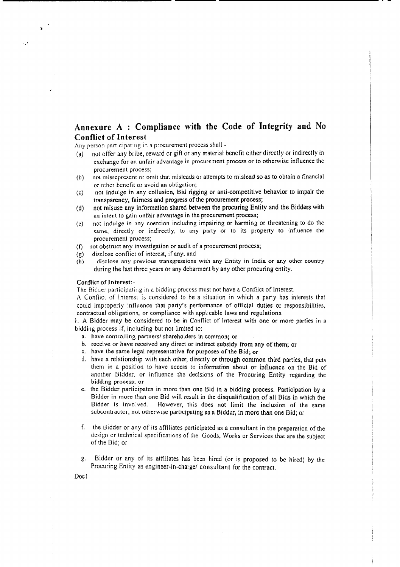### **Annexure** A : **Compliance with the Code of Integrity and No Conflict of Interest**

Any person participating in a procurement process shall -

- (a) not offer any bribe, reward or gift or any material benefit either directly or indirectly in exchange for an unfair advantage in procurement process or to otherwise influence the procurement process;
- (b) not misrepresent or omit that misleads or attempts to mislead so as to obtain a financial or other benefit or avoid an obligation;
- (c) not indulge in any collusion, Bid rigging or anti-competitive behavior to impair the transparency, fairness and progress of the procurement process;
- (d) not misuse any information shared between the procuring Entity and the Bidders with an intent to gain unfair advantage in the procurement process;
- (e) not indulge in any coercion including impairing or harming or threatening to do the same, directly or indirectly, to any party or to its property to influence the procurement process;
- (f) not obstruct any investigation or audit of a procurement process;
- (g) disclose conflict of interest, if any; and
- (h) disclose any previous transgressions with any Entity in India or any other country during the last three years or any debarment by any other procuring entity.

#### Conflict of Interest.-

'.

','

The Ridder participating in a bidding process must not have a Conflict of Interest.

A Conflict of Interest is considered to be a situation in which a party has interests that could improperly influence that party's performance of official duties or responsibilities, contractual obligations, or compliance with applicable laws and regulations.

i. <sup>A</sup> Bidder may be considered to be in Conflict of Interest with one or more parties in <sup>a</sup> bidding process if, including but not limited to:

- a. have controlling partners/ shareholders in common; or
- b. receive or have received any direct or indirect subsidy from any of them; or
- c. have the same legal representative for purposes of the Bid; or
- d. have a relationship with each other, directly or through common third parties. that puts them in a position to have access to information about or influence on the Bid of another Bidder, or influence the decisions of the Procuring Entity regarding the bidding process; or
- e. the Bidder participates in more than one Bid in a bidding process. Participation by a Bidder in more than one Bid will result in the disqualification of all Bids in which the Bidder is involved. However, this does not limit the inclusion of the same subcontractor, not otherwise participating as a Bidder, in more than one Bid; or
- f. the Bidder or any of its affiliates participated as a consultant in the preparation of the design or technical specifications of the Goods, Works or Services that are the subject of the Bid; or
- g. Bidder Or any of its affiliates has been hired (or is proposed to be hired) by the Procuring Entity as engineer-in-charge/ consultant for the contract.

Doc I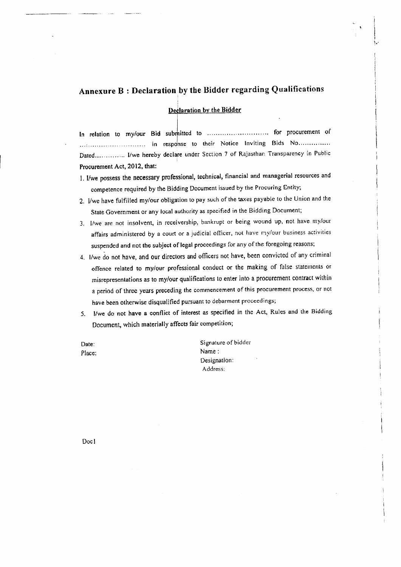### Annexure B : Declaration by the Bidder regarding Qualifications

#### Declaration by the Bidder

I

In relation to my/our Bid submitted to .............................. for procurement of in response to their Notice Inviting Bids No............... Dated.............. I/we hereby declare under Section 7 of Rajasthan Transparency in Public Procurement Act, 2012, that:

- I. I/we possess the necessary professional, technical, financial and managerial resources and competence required by the Bidding Document issued by the Procuring Entity;
- 2. l/we have fulfilled my/our obligation to pay such of the taxes payable to the Union and the State Government or any local authority as specified in the Bidding Document;
- 3. IIwe are not insolvent, in receivership, bankrupt or being wound up, not have my/our affairs administered by a court or a judicial officer, not have my/our business activities suspended and not the subject of legal proceedings for any of the foregoing reasons;
- 4. I/we do not have, and our directors and officers not have, been convicted of any criminal offence related to my/our professional conduct or the making of false statements or misrepresentations as to my/our qualifications to enter into a procurement contract within a period of three years preceding the commencement of this procurement process, or not have been otherwise disqualified pursuant to debarment proceedings;
- 5. l/we do not have a conflict of interest *as* specified in the Act, Rules and the Bidding Document, which materially affects fair competition;
- Date: Place:

Signature of bidder Name: Designation: Address: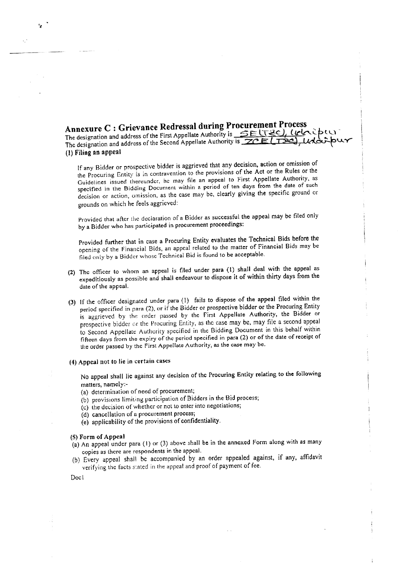**Annexure C : Grievance Redressal during Procurement Process .** The designation and address of the First Appellate Authority is <u>SELT2C, LICC</u> in Lic-<br>The designation and address of the Second Appellate Authority is ZCELT22) Udofb The designation and address of the Second Appellate Authority is **ZCE** (1) Filing an appeal *I*

If any Bidder or prospective bidder is aggrieved that any decision, action or omission of the Procuring Entity is in contravention to the provisions of the Act or the Rules or the Guidelines issued thereunder, he may file an appeal to First Appellate Authority, as specified in the Bidding Document within a period of ten days from the date of such decision or action, omission, as the case may be, clearly giving the specific ground or grounds on which he feels aggrieved:

Provided that after the declaration of a Bidder as successful the appeal may be tiled only by a Bidder who has participated in procurement proceedings:

Provided further that in case a Procuring Entity evaluates the Technical Bids before the opening of the Financial Bids, an appeal related to the matter of Financial Bids may be filed only by a Bidder whose Technical Bid is found to be acceptable.

- (2) The officer to whom an appeal is filed under para (I) shall deal with the appeal as expeditiously as possible and shall endeavour to dispose it of within thirty days from the date of the appeal.
- (3) If the officer designated under para (1) fails to dispose of the appeal filed within the period specified in para (2), or if the Bidder or prospective bidder or the Procuring Entity is aggrieved by the order passed by the First Appellate Authority, the Bidder or prospective bidder or the Procuring Entity, as the case may be, may file a second appeal to Second Appellate Authority specified in the Bidding Document in this behalf within fifteen days from the expiry of the period specified in para (2) or of the date of receipt of the order passed by the First Appellate Authority, as the case may be.

#### (4) Appeal not to lie in certain cases

No appeal shall lie against any decision of the Procuring Entity relating to the following matters, namely:-

- (a) determination of need of procurement;
- (b) provisions limiting participation of Bidders in the Bid process;
- (c) the decision of whether or not to enter into negotiations;
- (d) cancellation of a procurement process;
- (e) applicability of the provisions of confidentiality.

#### (5) Form of Appeal

- (a) An appeal under para (1) or (3) above shall be in the annexed Form along with as many copies as there are respondents in the appeal.
- (b) Every appeal shall be accompanied by an order appealed against, if any, affidavit verifying the facts stated in the appeal and proof of payment of fee.

Doc l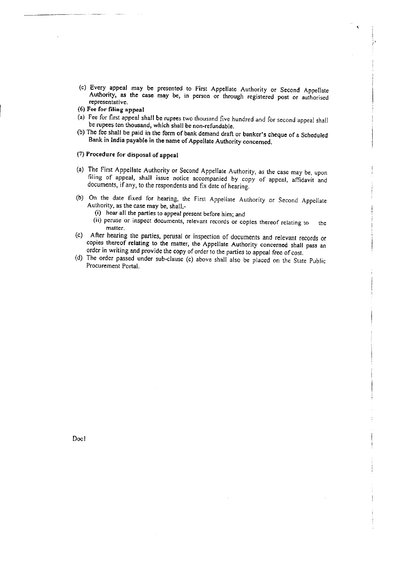(c) Every appeal may be presented to First Appellate Authority or Second Appellate Authority, as the case may be, in person or through registered post or authorised representative.

i'

- (6) Fee for filing appeal
- (a) Fee for first appeal shall be rupees two thousand five hundred and for second 'appeal shall be rupees ten thousand, which shall be non-refundable.
- (b) The fee shall be paid in the form of bank demand draft or banker's cheque of a Scheduled Bank in India payable in the name of Appellate Authority concerned.

#### (7) Procedure for disposal of appeal

- (a) The First Appellate Authority or Second Appellate Authority, as the case may be, upon filing of appeal, shall issue notice accompanied by copy of appeal, affidavit and documents, if any, to the respondents and fix date of hearing.
- (b) On the date fixed for hearing, the First Appellate Authority or Second Appellate Authority, as the case may be, shall,-
	- (i) hear all the parties to appeal present before him; and
	- (ii) peruse Or inspect documents, relevant records or copies thereof relating to the matter.
- (c) After hearing the parties, perusal or inspection of documents and relevant records or copies thereof relating to the matter, the Appellate Authority concerned shall pass an order in writing and provide the copy of order to the parties to appeal free of cost.
- (d) The order passed under sub-clause (c) above shall also be placed on the State Public Procurement Portal.

Doc I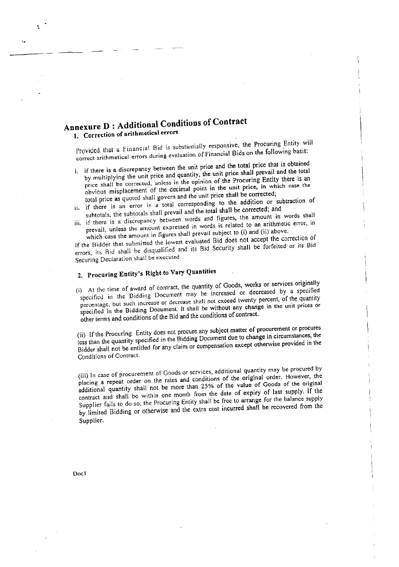# **Annexure D : Additional Conditions of Contract**

1. Correction of arithmetical errors

"

Provided that a Financial Bid is substantially responsive, the Procuring Entity will correct arithmetical errors during evaluation of Financial Bids on the following basis:

- i. if there is a discrepancy between the unit price and the total price that is obtained by multiplying the unit price and quantity, the unit price shall prevail and the total price shall be corrected, unless in the opinion of the Procuring Entity there is an obvious misplacement of the decimal point in the unit price, in which case the total price as quoted shall govern and the unit price shall be corrected;
- ii. if there is an error in a total corresponding to the addition or subtraction of subtotals. the subtotals shall prevail and the total shall be corrected; and
- iii. if there is a discrepancy between words and figures, the amount in words shall prevail, unless the amount expressed in words is related to an arithmetic error, in which case the amount in figures shall prevail subject to (i) and (ii) above.

I<sup>f</sup> the Bidder that submitted the lowest evaluated Bid does not accept the correction of errors, its Bid shall be disqualified and its Bid Security shall be forfeited or its Bid Securing Declaration shall be executed.

## 2. Procuring Entity's Right to Vary Quantities

(i) At the time of award of contract, the quantity of Goods, works or services originally specified in the Bidding Document may be increased or decreased by a specified percentage, but such increase or decrease shall not exceed twenty percent, of the quantity specified in the Bidding Document. It shall be without any change in the unit prices or other terms and conditions of the Bid and the conditions of contract.

(ii) If the Procuring Entity does not procure any subject matter of procurement or procures less than the quantity specified in the Bidding Document due to change in circumstances, the Bidder shall not be entitled for any claim or compensation except otherwise provided in the Conditions of Contract.

(iii) In case of procurement of Goods or services, additional quantity may be procured by placing a repeat order on the rates and conditions of the original order. However, the additional quantity shall not be more than 25% of the value of Goods of the original contract and shall be within one month from the date of expiry of last supply. If the Supplier fails to do so. the Procuring Entity shall be free to arrange for the balance supply by limited Bidding or otherwise and the extra cost incurred shall be recovered from the Supplier.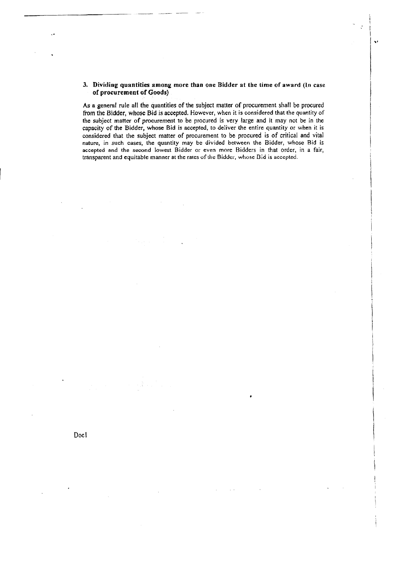#### 3. Dividing quantities among more than one Bidder at the time of award (In case of procurement of Goods)

As a general rule all the quantities of the subject matter of procurement shall be procured from the Bidder, whose Bid is accepted. However, when it is considered that the quantity of the subject matter of procurement to be procured is very large and it may not be in the capacity of the Bidder, whose Bid is accepted, to deliver the entire quantity or when it is considered that the subject matter of procurement to be procured is of critical and vital nature, in such cases, the quantity may be divided between the Bidder, whose Bid is accepted and the second lowest Bidder or even more Bidders in that order, in a fair, transparent and equitable manner at the rates of the Bidder, whose Bid is accepted.